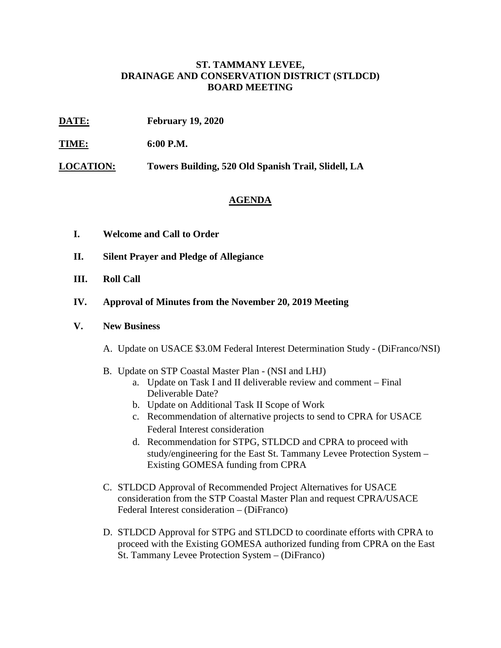## **ST. TAMMANY LEVEE, DRAINAGE AND CONSERVATION DISTRICT (STLDCD) BOARD MEETING**

- **DATE: February 19, 2020**
- **TIME: 6:00 P.M.**

**LOCATION: Towers Building, 520 Old Spanish Trail, Slidell, LA**

## **AGENDA**

- **I. Welcome and Call to Order**
- **II. Silent Prayer and Pledge of Allegiance**
- **III. Roll Call**
- **IV. Approval of Minutes from the November 20, 2019 Meeting**
- **V. New Business**
	- A. Update on USACE \$3.0M Federal Interest Determination Study (DiFranco/NSI)
	- B. Update on STP Coastal Master Plan (NSI and LHJ)
		- a. Update on Task I and II deliverable review and comment Final Deliverable Date?
		- b. Update on Additional Task II Scope of Work
		- c. Recommendation of alternative projects to send to CPRA for USACE Federal Interest consideration
		- d. Recommendation for STPG, STLDCD and CPRA to proceed with study/engineering for the East St. Tammany Levee Protection System – Existing GOMESA funding from CPRA
	- C. STLDCD Approval of Recommended Project Alternatives for USACE consideration from the STP Coastal Master Plan and request CPRA/USACE Federal Interest consideration – (DiFranco)
	- D. STLDCD Approval for STPG and STLDCD to coordinate efforts with CPRA to proceed with the Existing GOMESA authorized funding from CPRA on the East St. Tammany Levee Protection System – (DiFranco)